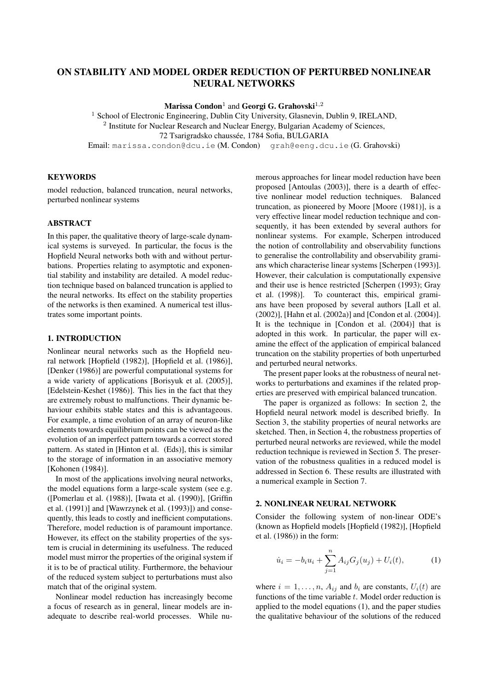# ON STABILITY AND MODEL ORDER REDUCTION OF PERTURBED NONLINEAR NEURAL NETWORKS

Marissa Condon $^1$  and Georgi G. Grahovski $^{1,2}$ 

<sup>1</sup> School of Electronic Engineering, Dublin City University, Glasnevin, Dublin 9, IRELAND,

 $2$  Institute for Nuclear Research and Nuclear Energy, Bulgarian Academy of Sciences,

72 Tsarigradsko chaussée, 1784 Sofia, BULGARIA

Email: marissa.condon@dcu.ie (M. Condon) grah@eeng.dcu.ie (G. Grahovski)

## **KEYWORDS**

model reduction, balanced truncation, neural networks, perturbed nonlinear systems

#### ABSTRACT

In this paper, the qualitative theory of large-scale dynamical systems is surveyed. In particular, the focus is the Hopfield Neural networks both with and without perturbations. Properties relating to asymptotic and exponential stability and instability are detailed. A model reduction technique based on balanced truncation is applied to the neural networks. Its effect on the stability properties of the networks is then examined. A numerical test illustrates some important points.

### 1. INTRODUCTION

Nonlinear neural networks such as the Hopfield neural network [Hopfield (1982)], [Hopfield et al. (1986)], [Denker (1986)] are powerful computational systems for a wide variety of applications [Borisyuk et al. (2005)], [Edelstein-Keshet (1986)]. This lies in the fact that they are extremely robust to malfunctions. Their dynamic behaviour exhibits stable states and this is advantageous. For example, a time evolution of an array of neuron-like elements towards equilibrium points can be viewed as the evolution of an imperfect pattern towards a correct stored pattern. As stated in [Hinton et al. (Eds)], this is similar to the storage of information in an associative memory [Kohonen (1984)].

In most of the applications involving neural networks, the model equations form a large-scale system (see e.g. ([Pomerlau et al. (1988)], [Iwata et al. (1990)], [Griffin et al. (1991)] and [Wawrzynek et al. (1993)]) and consequently, this leads to costly and inefficient computations. Therefore, model reduction is of paramount importance. However, its effect on the stability properties of the system is crucial in determining its usefulness. The reduced model must mirror the properties of the original system if it is to be of practical utility. Furthermore, the behaviour of the reduced system subject to perturbations must also match that of the original system.

Nonlinear model reduction has increasingly become a focus of research as in general, linear models are inadequate to describe real-world processes. While numerous approaches for linear model reduction have been proposed [Antoulas (2003)], there is a dearth of effective nonlinear model reduction techniques. Balanced truncation, as pioneered by Moore [Moore (1981)], is a very effective linear model reduction technique and consequently, it has been extended by several authors for nonlinear systems. For example, Scherpen introduced the notion of controllability and observability functions to generalise the controllability and observability gramians which characterise linear systems [Scherpen (1993)]. However, their calculation is computationally expensive and their use is hence restricted [Scherpen (1993); Gray et al. (1998)]. To counteract this, empirical gramians have been proposed by several authors [Lall et al. (2002)], [Hahn et al. (2002a)] and [Condon et al. (2004)]. It is the technique in [Condon et al. (2004)] that is adopted in this work. In particular, the paper will examine the effect of the application of empirical balanced truncation on the stability properties of both unperturbed and perturbed neural networks.

The present paper looks at the robustness of neural networks to perturbations and examines if the related properties are preserved with empirical balanced truncation.

The paper is organized as follows: In section 2, the Hopfield neural network model is described briefly. In Section 3, the stability properties of neural networks are sketched. Then, in Section 4, the robustness properties of perturbed neural networks are reviewed, while the model reduction technique is reviewed in Section 5. The preservation of the robustness qualities in a reduced model is addressed in Section 6. These results are illustrated with a numerical example in Section 7.

### 2. NONLINEAR NEURAL NETWORK

Consider the following system of non-linear ODE's (known as Hopfield models [Hopfield (1982)], [Hopfield et al. (1986)) in the form:

$$
\dot{u}_i = -b_i u_i + \sum_{j=1}^n A_{ij} G_j(u_j) + U_i(t), \tag{1}
$$

where  $i = 1, \ldots, n$ ,  $A_{ij}$  and  $b_i$  are constants,  $U_i(t)$  are functions of the time variable  $t$ . Model order reduction is applied to the model equations (1), and the paper studies the qualitative behaviour of the solutions of the reduced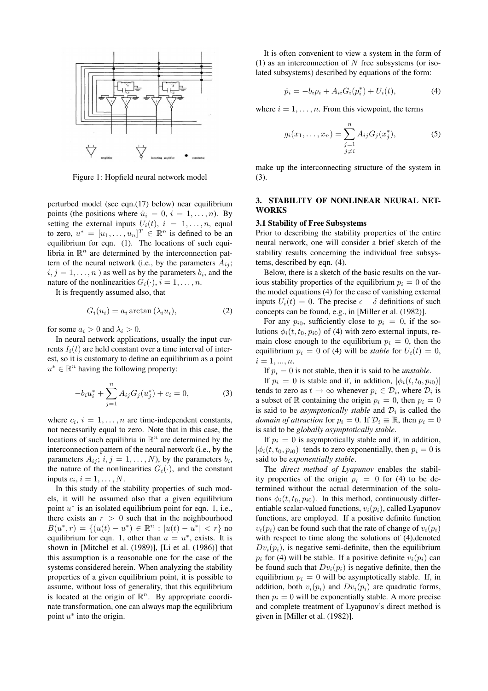

Figure 1: Hopfield neural network model

perturbed model (see eqn.(17) below) near equilibrium points (the positions where  $\dot{u}_i = 0$ ,  $i = 1, \ldots, n$ ). By setting the external inputs  $U_i(t)$ ,  $i = 1, \ldots, n$ , equal to zero,  $u^* = [u_1, \dots, u_n]^T \in \mathbb{R}^n$  is defined to be an equilibrium for eqn. (1). The locations of such equilibria in  $\mathbb{R}^n$  are determined by the interconnection pattern of the neural network (i.e., by the parameters  $A_{ij}$ ;  $i, j = 1, \ldots, n$  ) as well as by the parameters  $b_i$ , and the nature of the nonlinearities  $G_i(\cdot)$ ,  $i = 1, \ldots, n$ .

It is frequently assumed also, that

$$
G_i(u_i) = a_i \arctan(\lambda_i u_i), \tag{2}
$$

for some  $a_i > 0$  and  $\lambda_i > 0$ .

In neural network applications, usually the input currents  $I_i(t)$  are held constant over a time interval of interest, so it is customary to define an equilibrium as a point  $u^* \in \mathbb{R}^n$  having the following property:

$$
-b_i u_i^* + \sum_{j=1}^n A_{ij} G_j(u_j^*) + c_i = 0,
$$
 (3)

where  $c_i$ ,  $i = 1, \ldots, n$  are time-independent constants, not necessarily equal to zero. Note that in this case, the locations of such equilibria in  $\mathbb{R}^n$  are determined by the interconnection pattern of the neural network (i.e., by the parameters  $A_{ij}$ ;  $i, j = 1, ..., N$ ), by the parameters  $b_i$ , the nature of the nonlinearities  $G_i(\cdot)$ , and the constant inputs  $c_i$ ,  $i = 1, \ldots, N$ .

In this study of the stability properties of such models, it will be assumed also that a given equilibrium point  $u^*$  is an isolated equilibrium point for eqn. 1, i.e., there exists an  $r > 0$  such that in the neighbourhood  $B(u^*, r) = \{(u(t) - u^*) \in \mathbb{R}^n : |u(t) - u^*| < r\}$  no equilibrium for eqn. 1, other than  $u = u^*$ , exists. It is shown in [Mitchel et al. (1989)], [Li et al. (1986)] that this assumption is a reasonable one for the case of the systems considered herein. When analyzing the stability properties of a given equilibrium point, it is possible to assume, without loss of generality, that this equilibrium is located at the origin of  $\mathbb{R}^n$ . By appropriate coordinate transformation, one can always map the equilibrium point  $u^*$  into the origin.

It is often convenient to view a system in the form of (1) as an interconnection of  $N$  free subsystems (or isolated subsystems) described by equations of the form:

$$
\dot{p}_i = -b_i p_i + A_{ii} G_i(p_i^*) + U_i(t), \tag{4}
$$

where  $i = 1, \ldots, n$ . From this viewpoint, the terms

$$
g_i(x_1, \dots, x_n) = \sum_{\substack{j=1 \ j \neq i}}^n A_{ij} G_j(x_j^*), \tag{5}
$$

make up the interconnecting structure of the system in (3).

### 3. STABILITY OF NONLINEAR NEURAL NET-WORKS

### 3.1 Stability of Free Subsystems

Prior to describing the stability properties of the entire neural network, one will consider a brief sketch of the stability results concerning the individual free subsystems, described by eqn. (4).

Below, there is a sketch of the basic results on the various stability properties of the equilibrium  $p_i = 0$  of the the model equations (4) for the case of vanishing external inputs  $U_i(t) = 0$ . The precise  $\epsilon - \delta$  definitions of such concepts can be found, e.g., in [Miller et al. (1982)].

For any  $p_{i0}$ , sufficiently close to  $p_i = 0$ , if the solutions  $\phi_i(t, t_0, p_{i0})$  of (4) with zero external inputs, remain close enough to the equilibrium  $p_i = 0$ , then the equilibrium  $p_i = 0$  of (4) will be *stable* for  $U_i(t) = 0$ ,  $i = 1, ..., n$ .

If  $p_i = 0$  is not stable, then it is said to be *unstable*.

If  $p_i = 0$  is stable and if, in addition,  $|\phi_i(t, t_0, p_{i0})|$ tends to zero as  $t \to \infty$  whenever  $p_i \in \mathcal{D}_i$ , where  $\mathcal{D}_i$  is a subset of R containing the origin  $p_i = 0$ , then  $p_i = 0$ is said to be *asymptotically stable* and  $\mathcal{D}_i$  is called the *domain of attraction* for  $p_i = 0$ . If  $\mathcal{D}_i \equiv \mathbb{R}$ , then  $p_i = 0$ is said to be *globally asymptotically stable*.

If  $p_i = 0$  is asymptotically stable and if, in addition,  $|\phi_i(t, t_0, p_{i0})|$  tends to zero exponentially, then  $p_i = 0$  is said to be *exponentially stable*.

The *direct method of Lyapunov* enables the stability properties of the origin  $p_i = 0$  for (4) to be determined without the actual determination of the solutions  $\phi_i(t, t_0, p_{i0})$ . In this method, continuously differentiable scalar-valued functions,  $v_i(p_i)$ , called Lyapunov functions, are employed. If a positive definite function  $v_i(p_i)$  can be found such that the rate of change of  $v_i(p_i)$ with respect to time along the solutions of (4),denoted  $Dv_i(p_i)$ , is negative semi-definite, then the equilibrium  $p_i$  for (4) will be stable. If a positive definite  $v_i(p_i)$  can be found such that  $Dv_i(p_i)$  is negative definite, then the equilibrium  $p_i = 0$  will be asymptotically stable. If, in addition, both  $v_i(p_i)$  and  $Dv_i(p_i)$  are quadratic forms, then  $p_i = 0$  will be exponentially stable. A more precise and complete treatment of Lyapunov's direct method is given in [Miller et al. (1982)].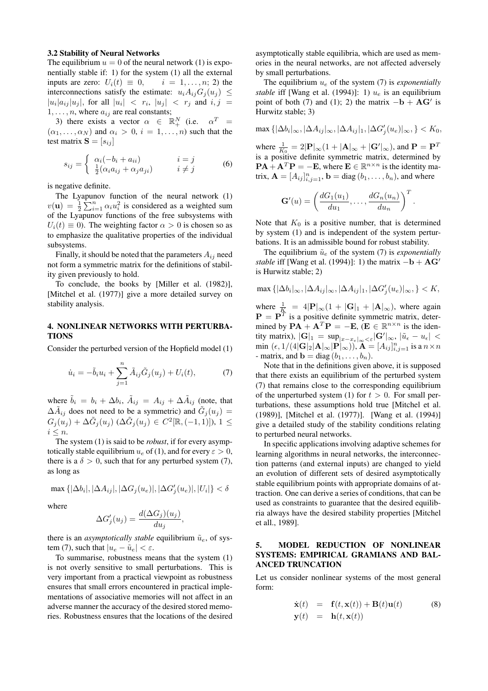#### 3.2 Stability of Neural Networks

The equilibrium  $u = 0$  of the neural network (1) is exponentially stable if: 1) for the system (1) all the external inputs are zero:  $U_i(t) \equiv 0, \quad i = 1, \ldots, n; 2$  the interconnections satisfy the estimate:  $u_i A_{ij} G_j(u_j) \leq$  $|u_i|a_{ij}|u_j|$ , for all  $|u_i| < r_i$ ,  $|u_j| < r_j$  and  $i, j = j$  $1, \ldots, n$ , where  $a_{ij}$  are real constants;

3) there exists a vector  $\alpha \in \mathbb{R}^N_+$  (i.e.  $\alpha^T =$  $(\alpha_1, \ldots, \alpha_N)$  and  $\alpha_i > 0$ ,  $i = 1, \ldots, n$ ) such that the test matrix  $S = [s_{ij}]$ 

$$
s_{ij} = \begin{cases} \alpha_i(-b_i + a_{ii}) & i = j \\ \frac{1}{2}(\alpha_i a_{ij} + \alpha_j a_{ji}) & i \neq j \end{cases}
$$
 (6)

is negative definite.

The Lyapunov function of the neural network (1)  $v(\mathbf{u}) = \frac{1}{2}$ punov function of the heural hetwork (1)<br> $\sum_{i=1}^{n} \alpha_i u_i^2$  is considered as a weighted sum of the Lyapunov functions of the free subsystems with  $U_i(t) \equiv 0$ ). The weighting factor  $\alpha > 0$  is chosen so as to emphasize the qualitative properties of the individual subsystems.

Finally, it should be noted that the parameters  $A_{ij}$  need not form a symmetric matrix for the definitions of stability given previously to hold.

To conclude, the books by [Miller et al. (1982)], [Mitchel et al. (1977)] give a more detailed survey on stability analysis.

### 4. NONLINEAR NETWORKS WITH PERTURBA-**TIONS**

Consider the perturbed version of the Hopfield model (1)

$$
\dot{u}_i = -\tilde{b}_i u_i + \sum_{j=1}^n \tilde{A}_{ij} \tilde{G}_j(u_j) + U_i(t),
$$
 (7)

where  $\tilde{b}_i = b_i + \Delta b_i$ ,  $\tilde{A}_{ij} = A_{ij} + \Delta \tilde{A}_{ij}$  (note, that  $\Delta \tilde{A}_{ij}$  does not need to be a symmetric) and  $\tilde{G}_j(u_j) =$  $G_j(u_j) + \Delta \tilde{G}_j(u_j) \; (\Delta \tilde{G}_j(u_j) \in C^2[\mathbb{R}, (-1,1)]), 1 \leq$  $i\leq n.$ 

The system (1) is said to be *robust*, if for every asymptotically stable equilibrium  $u_e$  of (1), and for every  $\varepsilon > 0$ , there is a  $\delta > 0$ , such that for any perturbed system (7), as long as

$$
\max\left\{|\Delta b_i|, |\Delta A_{ij}|, |\Delta G_j(u_e)|, |\Delta G_j'(u_e)|, |U_i|\right\} < \delta
$$

where

$$
\Delta G_j'(u_j) = \frac{d(\Delta G_j)(u_j)}{du_j},
$$

there is an *asymptotically stable* equilibrium  $\tilde{u}_e$ , of system (7), such that  $|u_e - \tilde{u}_e| < \varepsilon$ .

To summarise, robustness means that the system (1) is not overly sensitive to small perturbations. This is very important from a practical viewpoint as robustness ensures that small errors encountered in practical implementations of associative memories will not affect in an adverse manner the accuracy of the desired stored memories. Robustness ensures that the locations of the desired asymptotically stable equilibria, which are used as memories in the neural networks, are not affected adversely by small perturbations.

The equilibrium  $u_e$  of the system (7) is *exponentially stable* iff [Wang et al. (1994)]: 1)  $u_e$  is an equilibrium point of both (7) and (1); 2) the matrix  $-\mathbf{b} + \mathbf{A}\mathbf{G}'$  is Hurwitz stable; 3)

$$
\max\left\{|\Delta b_i|_{\infty}, |\Delta A_{ij}|_{\infty}, |\Delta A_{ij}|_{1}, |\Delta G_j'(u_e)|_{\infty}, \right\} < K_0,
$$

where  $\frac{1}{K_0} = 2|\mathbf{P}|_{\infty}(1 + |\mathbf{A}|_{\infty} + |\mathbf{G}'|_{\infty})$ , and  $\mathbf{P} = \mathbf{P}^T$ is a positive definite symmetric matrix, determined by  $\mathbf{PA} + \mathbf{A}^T \mathbf{P} = -\mathbf{E}$ , where  $\mathbf{E} \in \mathbb{R}^{n \times n}$  is the identity matrix,  $\mathbf{A} = [A_{ij}]_{i,j=1}^n$ ,  $\mathbf{b} = \text{diag}(b_1, \dots, b_n)$ , and where

$$
\mathbf{G}'(u) = \left(\frac{dG_1(u_1)}{du_1}, \dots, \frac{dG_n(u_n)}{du_n}\right)^T
$$

.

Note that  $K_0$  is a positive number, that is determined by system (1) and is independent of the system perturbations. It is an admissible bound for robust stability.

The equilibrium  $\tilde{u}_e$  of the system (7) is *exponentially stable* iff [Wang et al. (1994)]: 1) the matrix  $-b + AG'$ is Hurwitz stable; 2)

$$
\max\left\{|\Delta b_i|_{\infty}, |\Delta A_{ij}|_{\infty}, |\Delta A_{ij}|_1, |\Delta G_j'(u_e)|_{\infty}, \right\} < K,
$$

where  $\frac{1}{K} = 4|\mathbf{P}|_{\infty}(1 + |\mathbf{G}|_{1} + |\mathbf{A}|_{\infty})$ , where again  $\mathbf{P} = \mathbf{P}^T$  is a positive definite symmetric matrix, determined by  $\mathbf{PA} + \mathbf{A}^T \mathbf{P} = -\mathbf{E}, (\mathbf{E} \in \mathbb{R}^{n \times n})$  is the identity matrix),  $|\mathbf{G}|_1 = \sup_{|x-x_{\epsilon}|_{\infty} < \epsilon} |\mathbf{G}'|_{\infty}$ ,  $|\tilde{u}_{\epsilon} - u_{\epsilon}| <$ min  $(\epsilon, 1/(4|\mathbf{G}|_2|\mathbf{A}|_\infty|\mathbf{P}|_\infty))$ ,  $\mathbf{A} = [A_{ij}]_{i,j=1}^n$  is a  $n \times n$ - matrix, and  $\mathbf{b} = \text{diag}(b_1, \ldots, b_n)$ .

Note that in the definitions given above, it is supposed that there exists an equilibrium of the perturbed system (7) that remains close to the corresponding equilibrium of the unperturbed system (1) for  $t > 0$ . For small perturbations, these assumptions hold true [Mitchel et al. (1989)], [Mitchel et al. (1977)]. [Wang et al. (1994)] give a detailed study of the stability conditions relating to perturbed neural networks.

In specific applications involving adaptive schemes for learning algorithms in neural networks, the interconnection patterns (and external inputs) are changed to yield an evolution of different sets of desired asymptotically stable equilibrium points with appropriate domains of attraction. One can derive a series of conditions, that can be used as constraints to guarantee that the desired equilibria always have the desired stability properties [Mitchel et all., 1989].

## 5. MODEL REDUCTION OF NONLINEAR SYSTEMS: EMPIRICAL GRAMIANS AND BAL-ANCED TRUNCATION

Let us consider nonlinear systems of the most general form:

$$
\dot{\mathbf{x}}(t) = \mathbf{f}(t, \mathbf{x}(t)) + \mathbf{B}(t)\mathbf{u}(t) \quad (8)
$$
  

$$
\mathbf{y}(t) = \mathbf{h}(t, \mathbf{x}(t))
$$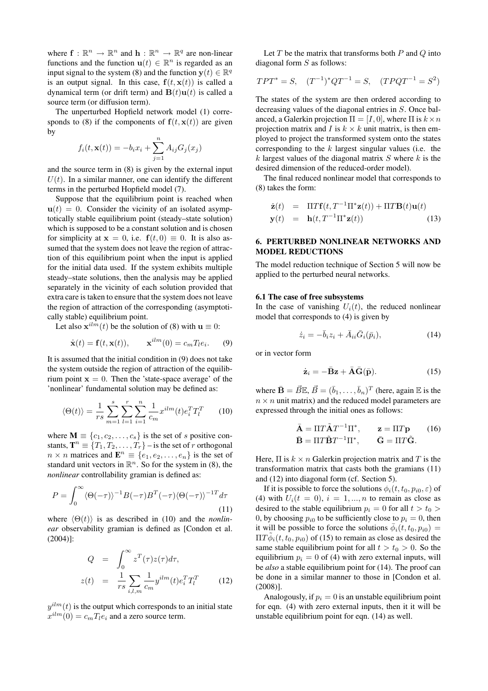where  $f: \mathbb{R}^n \to \mathbb{R}^n$  and  $h: \mathbb{R}^n \to \mathbb{R}^q$  are non-linear functions and the function  $\mathbf{u}(t) \in \mathbb{R}^n$  is regarded as an input signal to the system (8) and the function  $y(t) \in \mathbb{R}^q$ is an output signal. In this case,  $f(t, x(t))$  is called a dynamical term (or drift term) and  $B(t)u(t)$  is called a source term (or diffusion term).

The unperturbed Hopfield network model (1) corresponds to (8) if the components of  $f(t, x(t))$  are given by

$$
f_i(t, \mathbf{x}(t)) = -b_i x_i + \sum_{j=1}^n A_{ij} G_j(x_j)
$$

and the source term in (8) is given by the external input  $U(t)$ . In a similar manner, one can identify the different terms in the perturbed Hopfield model (7).

Suppose that the equilibrium point is reached when  $u(t) = 0$ . Consider the vicinity of an isolated asymptotically stable equilibrium point (steady–state solution) which is supposed to be a constant solution and is chosen for simplicity at  $x = 0$ , i.e.  $f(t, 0) \equiv 0$ . It is also assumed that the system does not leave the region of attraction of this equilibrium point when the input is applied for the initial data used. If the system exhibits multiple steady–state solutions, then the analysis may be applied separately in the vicinity of each solution provided that extra care is taken to ensure that the system does not leave the region of attraction of the corresponding (asymptotically stable) equilibrium point.

Let also  $\mathbf{x}^{ilm}(t)$  be the solution of (8) with  $\mathbf{u} \equiv 0$ :

$$
\dot{\mathbf{x}}(t) = \mathbf{f}(t, \mathbf{x}(t)), \qquad \mathbf{x}^{ilm}(0) = c_m T_l e_i. \tag{9}
$$

It is assumed that the initial condition in (9) does not take the system outside the region of attraction of the equilibrium point  $x = 0$ . Then the 'state-space average' of the 'nonlinear' fundamental solution may be defined as:

$$
\langle \Theta(t) \rangle = \frac{1}{rs} \sum_{m=1}^{s} \sum_{l=1}^{r} \sum_{i=1}^{n} \frac{1}{c_m} x^{ilm}(t) e_i^T T_l^T \qquad (10)
$$

where  $\mathbf{M} \equiv \{c_1, c_2, \dots, c_s\}$  is the set of s positive constants,  $\mathbf{T}^n \equiv \{T_1, T_2, \ldots, T_r\}$  – is the set of r orthogonal  $n \times n$  matrices and  $\mathbf{E}^n \equiv \{e_1, e_2, \dots, e_n\}$  is the set of standard unit vectors in  $\mathbb{R}^n$ . So for the system in (8), the *nonlinear* controllability gramian is defined as:

$$
P = \int_0^\infty \langle \Theta(-\tau) \rangle^{-1} B(-\tau) B^T(-\tau) \langle \Theta(-\tau) \rangle^{-1} d\tau
$$
\n(11)

where  $\langle \Theta(t) \rangle$  is as described in (10) and the *nonlinear* observability gramian is defined as [Condon et al. (2004)]:

$$
Q = \int_0^\infty z^T(\tau)z(\tau)d\tau,
$$
  
\n
$$
z(t) = \frac{1}{rs} \sum_{i,l,m} \frac{1}{c_m} y^{ilm}(t)e_i^T T_l^T
$$
\n(12)

 $y^{ilm}(t)$  is the output which corresponds to an initial state  $x^{ilm}(0) = c_m T_l e_i$  and a zero source term.

Let  $T$  be the matrix that transforms both  $P$  and  $Q$  into diagonal form  $S$  as follows:

$$
TPT^* = S, \quad (T^{-1})^*QT^{-1} = S, \quad (TPQT^{-1} = S^2)
$$

The states of the system are then ordered according to decreasing values of the diagonal entries in S. Once balanced, a Galerkin projection  $\Pi = [I, 0]$ , where  $\Pi$  is  $k \times n$ projection matrix and I is  $k \times k$  unit matrix, is then employed to project the transformed system onto the states corresponding to the  $k$  largest singular values (i.e. the  $k$  largest values of the diagonal matrix  $S$  where  $k$  is the desired dimension of the reduced-order model).

The final reduced nonlinear model that corresponds to (8) takes the form:

$$
\dot{\mathbf{z}}(t) = \Pi T \mathbf{f}(t, T^{-1} \Pi^* \mathbf{z}(t)) + \Pi T \mathbf{B}(t) \mathbf{u}(t)
$$
  

$$
\mathbf{y}(t) = \mathbf{h}(t, T^{-1} \Pi^* \mathbf{z}(t))
$$
(13)

## 6. PERTURBED NONLINEAR NETWORKS AND MODEL REDUCTIONS

The model reduction technique of Section 5 will now be applied to the perturbed neural networks.

#### 6.1 The case of free subsystems

In the case of vanishing  $U_i(t)$ , the reduced nonlinear model that corresponds to (4) is given by

$$
\dot{z}_i = -\bar{b}_i z_i + \bar{A}_{ii}\bar{G}_i(\bar{p}_i),\tag{14}
$$

or in vector form

$$
\dot{\mathbf{z}}_i = -\bar{\mathbf{B}}\mathbf{z} + \bar{\mathbf{A}}\bar{\mathbf{G}}(\bar{\mathbf{p}}). \tag{15}
$$

where  $\bar{\mathbf{B}} = \vec{B} \mathbb{E}, \vec{B} = (\bar{b}_1, \dots, \bar{b}_n)^T$  (here, again  $\mathbb{E}$  is the  $n \times n$  unit matrix) and the reduced model parameters are expressed through the initial ones as follows:

$$
\bar{\mathbf{A}} = \Pi T \tilde{\mathbf{A}} T^{-1} \Pi^*, \qquad \mathbf{z} = \Pi T \mathbf{p} \qquad (16)
$$

$$
\bar{\mathbf{B}} = \Pi T \tilde{\mathbf{B}} T^{-1} \Pi^*, \qquad \bar{\mathbf{G}} = \Pi T \tilde{\mathbf{G}}.
$$

Here,  $\Pi$  is  $k \times n$  Galerkin projection matrix and T is the transformation matrix that casts both the gramians (11) and (12) into diagonal form (cf. Section 5).

If it is possible to force the solutions  $\phi_i(t, t_0, p_{i0}, \varepsilon)$  of (4) with  $U_i(t = 0)$ ,  $i = 1, ..., n$  to remain as close as desired to the stable equilibrium  $p_i = 0$  for all  $t > t_0 > 0$ 0, by choosing  $p_{i0}$  to be sufficiently close to  $p_i = 0$ , then it will be possible to force the solutions  $\bar{\phi}_i(t, t_0, p_{i0}) =$  $\Pi T \tilde{\phi}_i(t, t_0, p_{i0})$  of (15) to remain as close as desired the same stable equilibrium point for all  $t > t_0 > 0$ . So the equilibrium  $p_i = 0$  of (4) with zero external inputs, will be *also* a stable equilibrium point for (14). The proof can be done in a similar manner to those in [Condon et al. (2008)].

Analogously, if  $p_i = 0$  is an unstable equilibrium point for eqn. (4) with zero external inputs, then it it will be unstable equilibrium point for eqn. (14) as well.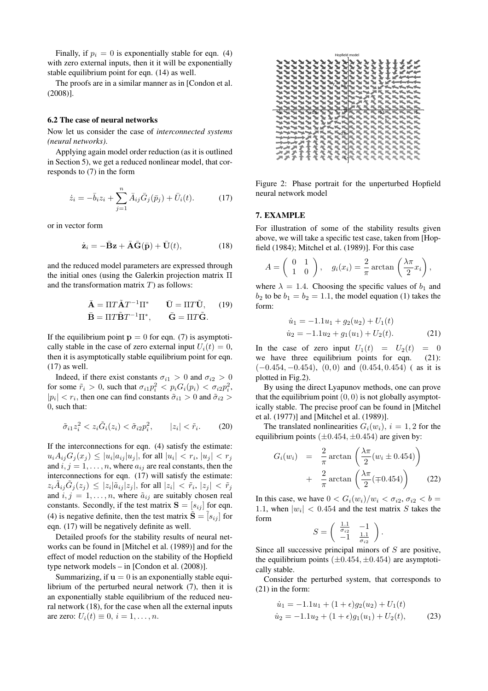Finally, if  $p_i = 0$  is exponentially stable for eqn. (4) with zero external inputs, then it it will be exponentially stable equilibrium point for eqn. (14) as well.

The proofs are in a similar manner as in [Condon et al. (2008)].

## 6.2 The case of neural networks

Now let us consider the case of *interconnected systems (neural networks)*.

Applying again model order reduction (as it is outlined in Section 5), we get a reduced nonlinear model, that corresponds to (7) in the form

$$
\dot{z}_i = -\bar{b}_i z_i + \sum_{j=1}^n \bar{A}_{ij} \bar{G}_j(\bar{p}_j) + \bar{U}_i(t). \tag{17}
$$

or in vector form

$$
\dot{\mathbf{z}}_i = -\bar{\mathbf{B}}\mathbf{z} + \bar{\mathbf{A}}\bar{\mathbf{G}}(\bar{\mathbf{p}}) + \bar{\mathbf{U}}(t), \tag{18}
$$

and the reduced model parameters are expressed through the initial ones (using the Galerkin projection matrix Π and the transformation matrix  $T$ ) as follows:

$$
\bar{\mathbf{A}} = \Pi T \tilde{\mathbf{A}} T^{-1} \Pi^* \qquad \bar{\mathbf{U}} = \Pi T \tilde{\mathbf{U}}, \qquad (19)
$$

$$
\bar{\mathbf{B}} = \Pi T \tilde{\mathbf{B}} T^{-1} \Pi^*, \qquad \bar{\mathbf{G}} = \Pi T \tilde{\mathbf{G}}.
$$

If the equilibrium point  $p = 0$  for eqn. (7) is asymptotically stable in the case of zero external input  $U_i(t) = 0$ , then it is asymptotically stable equilibrium point for eqn. (17) as well.

Indeed, if there exist constants  $\sigma_{i1} > 0$  and  $\sigma_{i2} > 0$ for some  $\tilde{r}_i > 0$ , such that  $\sigma_{i1} p_i^2 < p_i G_i(p_i) < \sigma_{i2} p_i^2$ ,  $|p_i| < r_i$ , then one can find constants  $\tilde{\sigma}_{i1} > 0$  and  $\tilde{\sigma}_{i2} > 0$ 0, such that:

$$
\tilde{\sigma}_{i1} z_i^2 < z_i \tilde{G}_i(z_i) < \tilde{\sigma}_{i2} p_i^2, \qquad |z_i| < \tilde{r}_i. \tag{20}
$$

If the interconnections for eqn. (4) satisfy the estimate:  $u_i A_{ij} G_j(x_j) \le |u_i| a_{ij} |u_j|$ , for all  $|u_i| < r_i$ ,  $|u_j| < r_j$ and  $i, j = 1, \ldots, n$ , where  $a_{ij}$  are real constants, then the interconnections for eqn. (17) will satisfy the estimate:  $z_i\tilde{A}_{ij}\tilde{G}_j(z_j) \leq |z_i|\tilde{a}_{ij}|z_j|$ , for all  $|z_i| < \tilde{r}_i$ ,  $|z_j| < \tilde{r}_j$ and  $i, j = 1, \ldots, n$ , where  $\tilde{a}_{ij}$  are suitably chosen real constants. Secondly, if the test matrix  $S = [s_{ij}]$  for eqn. (4) is negative definite, then the test matrix  $\tilde{\mathbf{S}} = [s_{ij}]$  for eqn. (17) will be negatively definite as well.

Detailed proofs for the stability results of neural networks can be found in [Mitchel et al. (1989)] and for the effect of model reduction on the stability of the Hopfield type network models – in [Condon et al. (2008)].

Summarizing, if  $\mathbf{u} = 0$  is an exponentially stable equilibrium of the perturbed neural network (7), then it is an exponentially stable equilibrium of the reduced neural network (18), for the case when all the external inputs are zero:  $U_i(t) \equiv 0, i = 1, \ldots, n$ .



Figure 2: Phase portrait for the unperturbed Hopfield neural network model

### 7. EXAMPLE

For illustration of some of the stability results given above, we will take a specific test case, taken from [Hopfield (1984); Mitchel et al. (1989)]. For this case

$$
A = \begin{pmatrix} 0 & 1 \\ 1 & 0 \end{pmatrix}, \quad g_i(x_i) = \frac{2}{\pi} \arctan\left(\frac{\lambda \pi}{2} x_i\right),
$$

where  $\lambda = 1.4$ . Choosing the specific values of  $b_1$  and  $b_2$  to be  $b_1 = b_2 = 1.1$ , the model equation (1) takes the form:

$$
\dot{u}_1 = -1.1u_1 + g_2(u_2) + U_1(t)
$$
  
\n
$$
\dot{u}_2 = -1.1u_2 + g_1(u_1) + U_2(t).
$$
\n(21)

In the case of zero input  $U_1(t) = U_2(t) = 0$ we have three equilibrium points for eqn. (21):  $(-0.454, -0.454), (0, 0)$  and  $(0.454, 0.454)$  (as it is plotted in Fig.2).

By using the direct Lyapunov methods, one can prove that the equilibrium point  $(0, 0)$  is not globally asymptotically stable. The precise proof can be found in [Mitchel et al. (1977)] and [Mitchel et al. (1989)].

The translated nonlinearities  $G_i(w_i)$ ,  $i = 1, 2$  for the equilibrium points  $(\pm 0.454, \pm 0.454)$  are given by:

$$
G_i(w_i) = \frac{2}{\pi} \arctan\left(\frac{\lambda \pi}{2}(w_i \pm 0.454)\right)
$$
  
+ 
$$
\frac{2}{\pi} \arctan\left(\frac{\lambda \pi}{2}(\mp 0.454)\right)
$$
 (22)

.

In this case, we have  $0 < G_i(w_i)/w_i < \sigma_{i2}, \sigma_{i2} < b$  = 1.1, when  $|w_i| < 0.454$  and the test matrix S takes the form  $(1.1)$  $\mathbf{r}$ 

$$
S = \left(\begin{array}{cc} \frac{1.1}{\sigma_{i2}} & -1\\ -1 & \frac{1.1}{\sigma_{i2}} \end{array}\right)
$$

Since all successive principal minors of S are positive, the equilibrium points  $(\pm 0.454, \pm 0.454)$  are asymptotically stable.

Consider the perturbed system, that corresponds to (21) in the form:

$$
\dot{u}_1 = -1.1u_1 + (1 + \epsilon)g_2(u_2) + U_1(t)
$$
  
\n
$$
\dot{u}_2 = -1.1u_2 + (1 + \epsilon)g_1(u_1) + U_2(t),
$$
\n(23)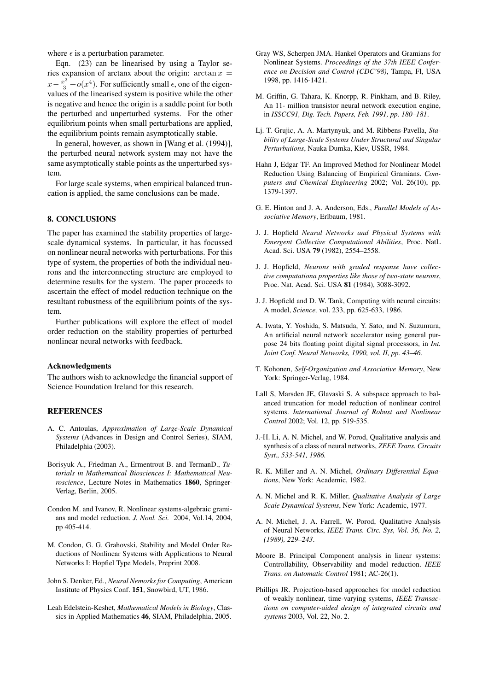where  $\epsilon$  is a perturbation parameter.

Eqn. (23) can be linearised by using a Taylor series expansion of arctanx about the origin:  $\arctan x =$  $x - \frac{x^3}{3} + o(x^4)$ . For sufficiently small  $\epsilon$ , one of the eigenvalues of the linearised system is positive while the other is negative and hence the origin is a saddle point for both the perturbed and unperturbed systems. For the other equilibrium points when small perturbations are applied, the equilibrium points remain asymptotically stable.

In general, however, as shown in [Wang et al. (1994)], the perturbed neural network system may not have the same asymptotically stable points as the unperturbed system.

For large scale systems, when empirical balanced truncation is applied, the same conclusions can be made.

## 8. CONCLUSIONS

The paper has examined the stability properties of largescale dynamical systems. In particular, it has focussed on nonlinear neural networks with perturbations. For this type of system, the properties of both the individual neurons and the interconnecting structure are employed to determine results for the system. The paper proceeds to ascertain the effect of model reduction technique on the resultant robustness of the equilibrium points of the system.

Further publications will explore the effect of model order reduction on the stability properties of perturbed nonlinear neural networks with feedback.

### Acknowledgments

The authors wish to acknowledge the financial support of Science Foundation Ireland for this research.

#### **REFERENCES**

- A. C. Antoulas, *Approximation of Large-Scale Dynamical Systems* (Advances in Design and Control Series), SIAM, Philadelphia (2003).
- Borisyuk A., Friedman A., Ermentrout B. and TermanD., *Tutorials in Mathematical Biosciences I: Mathematical Neuroscience*, Lecture Notes in Mathematics 1860, Springer-Verlag, Berlin, 2005.
- Condon M. and Ivanov, R. Nonlinear systems-algebraic gramians and model reduction. *J. Nonl. Sci.* 2004, Vol.14, 2004, pp 405-414.
- M. Condon, G. G. Grahovski, Stability and Model Order Reductions of Nonlinear Systems with Applications to Neural Networks I: Hopfiel Type Models, Preprint 2008.
- John S. Denker, Ed., *Neural Nemorks for Computing*, American Institute of Physics Conf. 151, Snowbird, UT, 1986.
- Leah Edelstein-Keshet, *Mathematical Models in Biology*, Classics in Applied Mathematics 46, SIAM, Philadelphia, 2005.
- Gray WS, Scherpen JMA. Hankel Operators and Gramians for Nonlinear Systems. *Proceedings of the 37th IEEE Conference on Decision and Control (CDC'98)*, Tampa, Fl, USA 1998, pp. 1416-1421.
- M. Griffin, G. Tahara, K. Knorpp, R. Pinkham, and B. Riley, An 11- million transistor neural network execution engine, in *ISSCC91, Dig. Tech. Papers, Feb. 1991, pp. 180–181*.
- Lj. T. Grujic, A. A. Martynyuk, and M. Ribbens-Pavella, *Stability of Large-Scale Systems Under Structural and Singular Perturbuiions*, Nauka Dumka, Kiev, USSR, 1984.
- Hahn J, Edgar TF. An Improved Method for Nonlinear Model Reduction Using Balancing of Empirical Gramians. *Computers and Chemical Engineering* 2002; Vol. 26(10), pp. 1379-1397.
- G. E. Hinton and J. A. Anderson, Eds., *Parallel Models of Associative Memory*, Erlbaum, 1981.
- J. J. Hopfield *Neural Networks and Physical Systems with Emergent Collective Computational Abilities*, Proc. NatL Acad. Sci. USA 79 (1982), 2554–2558.
- J. J. Hopfield, *Neurons with graded response have collective computationa properties like those of two-state neurons*, Proc. Nat. Acad. Sci. USA 81 (1984), 3088-3092.
- J. J. Hopfield and D. W. Tank, Computing with neural circuits: A model, *Science,* vol. 233, pp. 625-633, 1986.
- A. Iwata, Y. Yoshida, S. Matsuda, Y. Sato, and N. Suzumura, An artificial neural network accelerator using general purpose 24 bits floating point digital signal processors, in *Int. Joint Conf. Neural Networks, 1990, vol. II, pp. 43–46*.
- T. Kohonen, *Self-Organization and Associative Memory*, New York: Springer-Verlag, 1984.
- Lall S, Marsden JE, Glavaski S. A subspace approach to balanced truncation for model reduction of nonlinear control systems. *International Journal of Robust and Nonlinear Control* 2002; Vol. 12, pp. 519-535.
- J.-H. Li, A. N. Michel, and W. Porod, Qualitative analysis and synthesis of a class of neural networks, *ZEEE Trans. Circuits Syst., 533-541, 1986.*
- R. K. Miller and A. N. Michel, *Ordinary Differential Equations*, New York: Academic, 1982.
- A. N. Michel and R. K. Miller, *Qualitative Analysis of Large Scale Dynamical Systems*, New York: Academic, 1977.
- A. N. Michel, J. A. Farrell, W. Porod, Qualitative Analysis of Neural Networks, *IEEE Trans. Circ. Sys, Vol. 36, No. 2, (1989), 229–243*.
- Moore B. Principal Component analysis in linear systems: Controllability, Observability and model reduction. *IEEE Trans. on Automatic Control* 1981; AC-26(1).
- Phillips JR. Projection-based approaches for model reduction of weakly nonlinear, time-varying systems, *IEEE Transactions on computer-aided design of integrated circuits and systems* 2003, Vol. 22, No. 2.